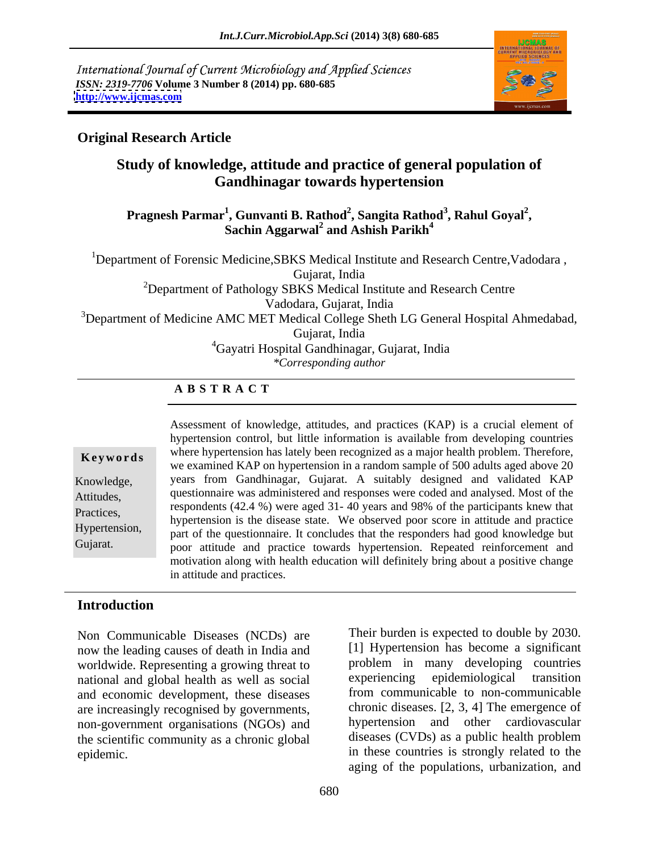International Journal of Current Microbiology and Applied Sciences *ISSN: 2319-7706* **Volume 3 Number 8 (2014) pp. 680-685 <http://www.ijcmas.com>**



### **Original Research Article**

## **Study of knowledge, attitude and practice of general population of Gandhinagar towards hypertension**

#### Pragnesh Parmar<sup>1</sup>, Gunvanti B. Rathod<sup>2</sup>, Sangita Rathod<sup>3</sup>, Rahul Goyal<sup>2</sup>,<br>Sachin Aggarwal<sup>2</sup> and Ashish Parikh<sup>4</sup> **, Rahul Goyal<sup>2</sup> and Ashish Parikh<sup>4</sup>**

<sup>1</sup>Department of Forensic Medicine, SBKS Medical Institute and Research Centre, Vadodara, Gujarat, India

2Department of Pathology SBKS Medical Institute and Research Centre

Vadodara, Gujarat, India

<sup>3</sup>Department of Medicine AMC MET Medical College Sheth LG General Hospital Ahmedabad,

Gujarat, India

4Gayatri Hospital Gandhinagar, Gujarat, India

*\*Corresponding author* 

#### **A B S T R A C T**

**Key words** where hypertension has fattly been recognized as a high health problem. Therefore, we examined KAP on hypertension in a random sample of 500 adults aged above 20 Knowledge, years from Gandhinagar, Gujarat. A suitably designed and validated KAP Attitudes, questionnaire was administered and responses were coded and analysed. Most of the Practices,<br>hypertension is the disease state. We observed poor score in attitude and practice Hypertension, and the questionnaire. It concludes that the responders had good knowledge but Gujarat. poor attitude and practice towards hypertension. Repeated reinforcement and Assessment of knowledge, attitudes, and practices (KAP) is a crucial element of hypertension control, but little information is available from developing countries where hypertension has lately been recognized as a major health problem. Therefore, respondents (42.4 %) were aged 31- 40 years and 98% of the participants knew that motivation along with health education will definitely bring about a positive change in attitude and practices.

### **Introduction**

Non Communicable Diseases (NCDs) are now the leading causes of death in India and worldwide. Representing a growing threat to more problem in many developing countries<br>national and global health as well as social experiencing epidemiological transition national and global health as well as social and economic development, these diseases are increasingly recognised by governments, non-government organisations (NGOs) and the scientific community as a chronic global

epidemic. in these countries is strongly related to the Their burden is expected to double by 2030. [1] Hypertension has become a significant problem in many developing countries experiencing epidemiological transition from communicable to non-communicable chronic diseases. [2, 3, 4] The emergence of hypertension and other cardiovascular diseases (CVDs) as a public health problem aging of the populations, urbanization, and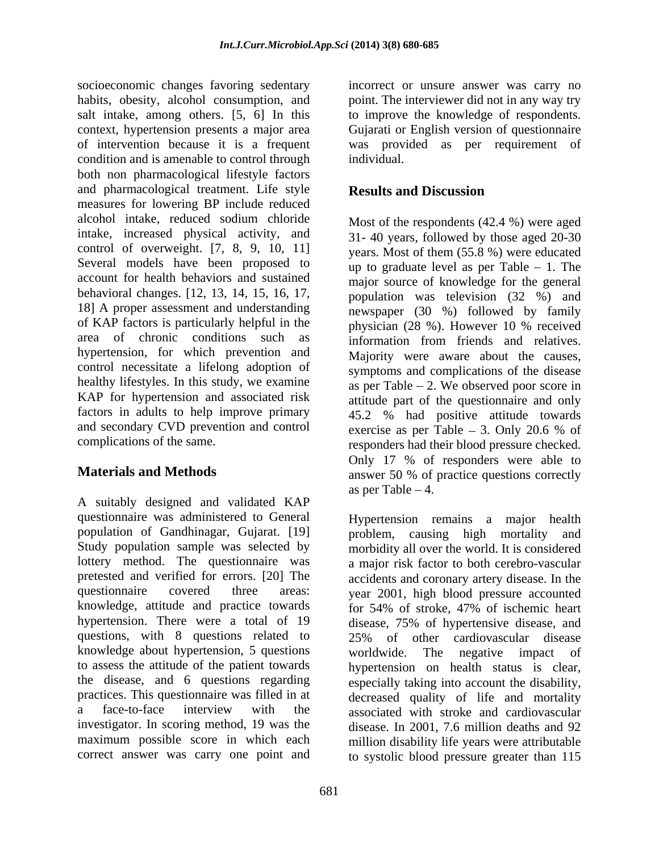socioeconomic changes favoring sedentary incorrect or unsure answer was carry no habits, obesity, alcohol consumption, and point. The interviewer did not in any way try salt intake, among others. [5, 6] In this to improve the knowledge of respondents. context, hypertension presents a major area Gujarati or English version of questionnaire of intervention because it is a frequent was provided as per requirement of condition and is amenable to control through individual. both non pharmacological lifestyle factors and pharmacological treatment. Life style **Results and Discussion** measures for lowering BP include reduced alcohol intake, reduced sodium chloride intake, increased physical activity, and control of overweight. [7, 8, 9, 10, 11] Several models have been proposed to  $\mu$  to graduate level as per Table  $-1$ . The account for health behaviors and sustained major source of knowledge for the general behavioral changes. [12, 13, 14, 15, 16, 17, 18] A proper assessment and understanding of KAP factors is particularly helpful in the  $\frac{1}{28}$  physician (28 %). However 10 % received area of chronic conditions such as information from friends and relatives. hypertension, for which prevention and control necessitate a lifelong adoption of healthy lifestyles. In this study, we examine KAP for hypertension and associated risk factors in adults to help improve primary and secondary CVD prevention and control

A suitably designed and validated KAP questionnaire was administered to General Hypertension remains a major health population of Gandhinagar, Gujarat. [19] problem, causing high mortality and Study population sample was selected by morbidity all over the world. It is considered lottery method. The questionnaire was pretested and verified for errors. [20] The accidents and coronary artery disease. In the questionnaire covered three areas: year 2001, high blood pressure accounted knowledge, attitude and practice towards for 54% of stroke, 47% of ischemic heart hypertension. There were a total of 19 questions, with 8 questions related to 25% of other cardiovascular disease knowledge about hypertension, 5 questions to assess the attitude of the patient towards the disease, and 6 questions regarding practices. This questionnaire was filled in at decreased quality of life and mortality a face-to-face interview with the associated with stroke and cardiovascular investigator. In scoring method, 19 was the disease. In 2001, 7.6 million deaths and 92 maximum possible score in which each

individual.

### **Results and Discussion**

complications of the same. responders had their blood pressure checked. **Materials and Methods** answer 50 % of practice questions correctly Most of the respondents (42.4 %) were aged 31- 40 years, followed by those aged 20-30 years. Most of them (55.8 %) were educated population was television (32 %) and newspaper (30 %) followed by family physician (28 %). However 10 % received Majority were aware about the causes, symptoms and complications of the disease as per Table  $-2$ . We observed poor score in attitude part of the questionnaire and only 45.2 % had positive attitude towards exercise as per Table  $-3$ . Only 20.6 % of Only 17 % of responders were able to as per Table  $-4$ .

correct answer was carry one point and to systolic blood pressure greater than 115a major risk factor to both cerebro-vascular disease, 75% of hypertensive disease, and 25% of other cardiovascular disease worldwide. The negative impact of hypertension on health status is clear, especially taking into account the disability, million disability life years were attributable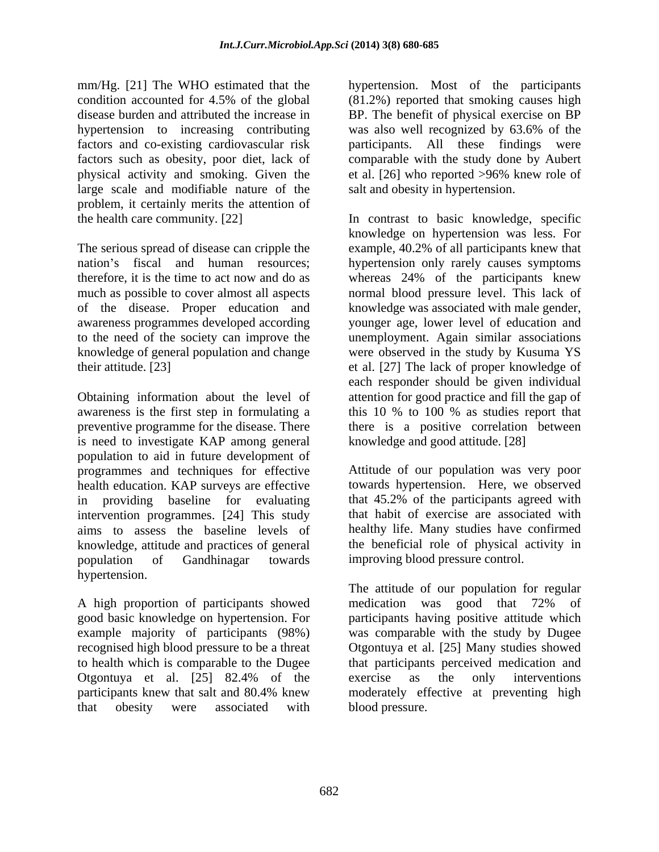mm/Hg. [21] The WHO estimated that the hypertension. Most of the participants condition accounted for 4.5% of the global (81.2%) reported that smoking causes high disease burden and attributed the increase in BP. The benefit of physical exercise on BP hypertension to increasing contributing was also well recognized by 63.6% of the factors and co-existing cardiovascular risk factors such as obesity, poor diet, lack of physical activity and smoking. Given the large scale and modifiable nature of the problem, it certainly merits the attention of

Obtaining information about the level of attention for good practice and fill the gap of awareness is the first step in formulating a this 10 % to 100 % as studies report that preventive programme for the disease. There there is a positive correlation between is need to investigate KAP among general population to aid in future development of programmes and techniques for effective health education. KAP surveys are effective in providing baseline for evaluating intervention programmes. [24] This study aims to assess the baseline levels of knowledge, attitude and practices of general population of Gandhinagar towards improving blood pressure control. hypertension.

A high proportion of participants showed medication was good that 72% of

was also well recognized by 63.6% of the participants. All these findings were comparable with the study done by Aubert et al. [26] who reported >96% knew role of salt and obesity in hypertension.

the health care community. [22] In contrast to basic knowledge, specific The serious spread of disease can cripple the example, 40.2% of all participants knew that nation's fiscal and human resources; hypertension only rarely causes symptoms therefore, it is the time to act now and do as whereas 24% of the participants knew much as possible to cover almost all aspects normal blood pressure level. This lack of of the disease. Proper education and knowledge was associated with male gender, awareness programmes developed according younger age, lower level of education and to the need of the society can improve the unemployment. Again similar associations knowledge of general population and change were observed in the study by Kusuma YS their attitude. [23] et al. [27] The lack of proper knowledge of knowledge on hypertension was less. For each responder should be given individual this 10 % to 100 % as studies report that knowledge and good attitude. [28]

> Attitude of our population was very poor towards hypertension. Here, we observed that 45.2% of the participants agreed with that habit of exercise are associated with healthy life. Many studies have confirmed the beneficial role of physical activity in

good basic knowledge on hypertension. For participants having positive attitude which example majority of participants (98%) was comparable with the study by Dugee recognised high blood pressure to be a threat Otgontuya et al. [25] Many studies showed to health which is comparable to the Dugee that participants perceived medication and Otgontuya et al. [25] 82.4% of the participants knew that salt and 80.4% knew moderately effective at preventing high that obesity were associated with The attitude of our population for regular medication was good that 72% of exercise as the only interventions blood pressure.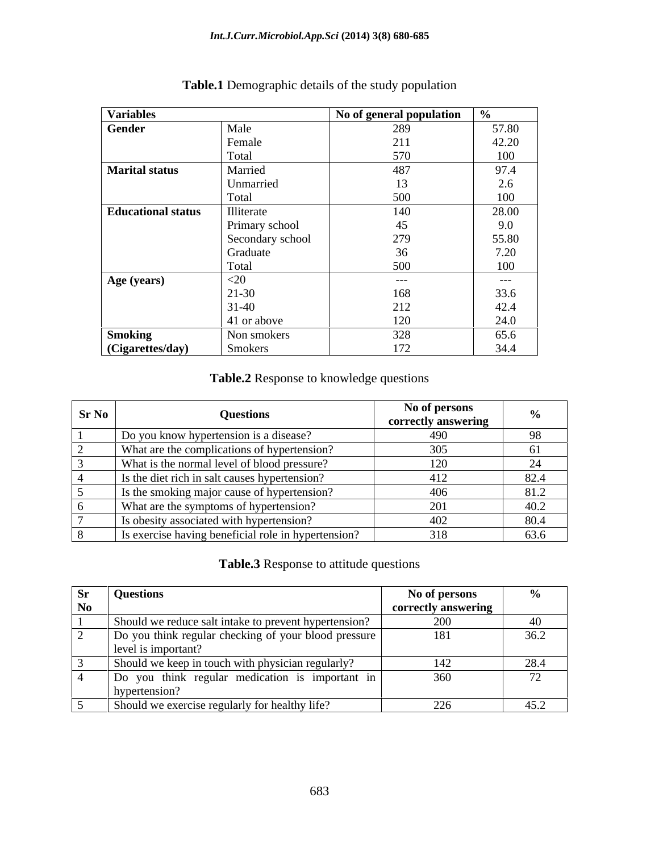| <b>Variables</b>          |                  | No of general population   % |                    |
|---------------------------|------------------|------------------------------|--------------------|
| Gender                    | Male             | 289                          | 57.80              |
|                           | Female           | 011                          | 42.20              |
|                           | Fotal            | 570                          | 100                |
| <b>Marital status</b>     | Married          | ДX                           | $\sim$             |
|                           | Unmarried        |                              |                    |
|                           | Total            | 500                          | 100                |
| <b>Educational status</b> | lliterate        | 140                          | 28.00              |
|                           | Primary school   |                              | 9.0                |
|                           | Secondary school | 279                          | 55.80              |
|                           | Graduate         |                              | 7.20<br>$\sim$     |
|                           | Total            | 500                          | 100                |
| Age (years)               |                  | $---$                        | $---$              |
|                           | 21-30            | 168                          | <b>JJ.U</b>        |
|                           | $31-40$          | 212<br>212                   | $\sqrt{2}$<br>42.4 |
|                           | 41 or above      | 120                          |                    |
| <b>Smoking</b>            | Non smokers      | 328                          | 65.6               |
| (Cigarettes/day)          | Smokers          | 172                          |                    |

# **Table.1** Demographic details of the study population

#### **Table.2** Response to knowledge questions

| SrN0 | Questions                                           | No of persons<br>correctly answering |  |
|------|-----------------------------------------------------|--------------------------------------|--|
|      | Do you know hypertension is a disease?              | 490                                  |  |
|      | What are the complications of hypertension?         |                                      |  |
|      | What is the normal level of blood pressure?         | 120                                  |  |
|      | Is the diet rich in salt causes hypertension?       | 412                                  |  |
|      | Is the smoking major cause of hypertension?         | 406                                  |  |
|      | What are the symptoms of hypertension?              |                                      |  |
|      | Is obesity associated with hypertension?            |                                      |  |
|      | Is exercise having beneficial role in hypertension? |                                      |  |

### **Table.3** Response to attitude questions

| Questions                                                                   | No of persons       |  |
|-----------------------------------------------------------------------------|---------------------|--|
|                                                                             | correctly answering |  |
| Should we reduce salt intake to prevent hypertension?                       |                     |  |
| Do you think regular checking of your blood pressure<br>level is important? | 181                 |  |
| Should we keep in touch with physician regularly?                           | 142 L               |  |
| Do you think regular medication is important in<br>าvnert                   | 360                 |  |
| Should we exercise regularly for healthy life?                              | ີດລ∠                |  |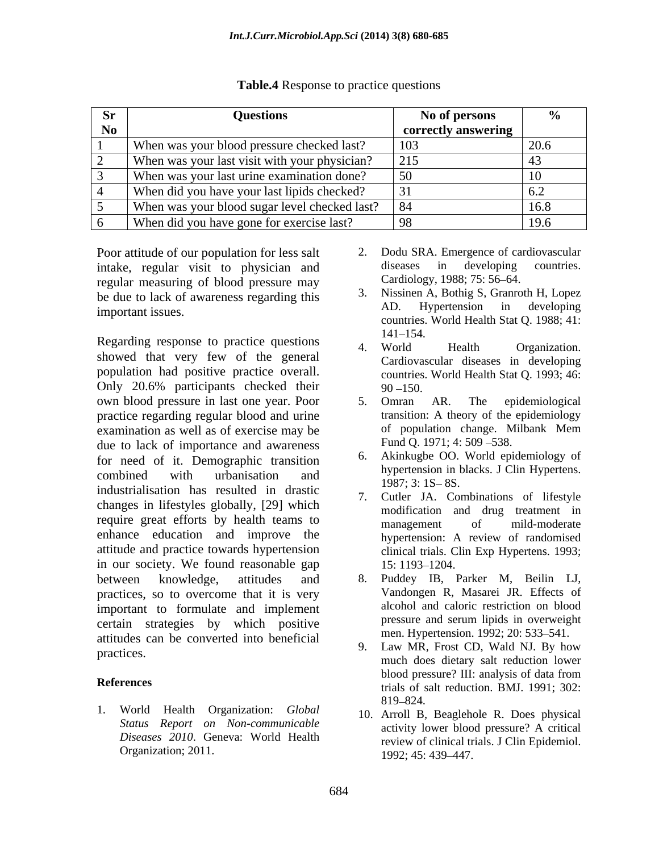| Questions                                          | No of persons       |  |
|----------------------------------------------------|---------------------|--|
|                                                    | correctly answering |  |
| When was your blood pressure checked last?         |                     |  |
| When was your last visit with your physician?      |                     |  |
| When was your last urine examination done?         |                     |  |
| When did you have your last lipids checked?        |                     |  |
| When was your blood sugar level checked last?   84 |                     |  |
| When did you have gone for exercise last?          |                     |  |

#### **Table.4** Response to practice questions

Poor attitude of our population for less salt 2. Dodu SRA. Emergence of cardiovascular<br>intake, regular visit to physician and diseases in developing countries. intake, regular visit to physician and diseases in developing<br>regular measuring of blood pressure may Cardiology, 1988; 75: 56–64. regular measuring of blood pressure may be due to lack of awareness regarding this  $\frac{3}{2}$ . Nissinen A, Bothig S, Granroth H, Lopez<br>AD. Hypertension in developing

Regarding response to practice questions  $\begin{array}{ccc}\n & 141-154. \\
4. \text{World} & Health \n\end{array}$  Organization. showed that very few of the general population had positive practice overall. Only 20.6% participants checked their 90–150. own blood pressure in last one year. Poor 5. Omran AR. The epidemiological practice regarding regular blood and urine transition: A theory of the epidemiology<br>examination as well as of exercise may be of population change. Milbank Mem examination as well as of exercise may be due to lack of importance and awareness<br>for need of it. Demographic transition 6. for need of it. Demographic transition<br>of the symbology of the probability and the probability of the probability of the probability of the probability of the probability of the probability of the probability of the probab combined with urbanisation and  $\frac{1097 \cdot 2 \cdot 15}{1097 \cdot 2 \cdot 15}$  or industrialisation has resulted in drastic and 1987; 3: 1S–8S.<br>The cutter JA. Co. changes in lifestyles globally, [29] which require great efforts by health teams to management of mild-moderate enhance education and improve the attitude and practice towards hypertension in our society. We found reasonable gap  $15:1193-1204$ . between knowledge, attitudes and 8. Puddey IB, Parker M, Beilin LJ, practices, so to overcome that it is very important to formulate and implement<br>
interaction blood pressure and serum lipids in overweight certain strategies by which positive attitudes can be converted into beneficial men. Hypertension. 1992; 20: 533–541.<br>9. Law MR, Frost CD, Wald NJ. By how

1. World Health Organization: *Global* 10. Arroll B, Beaglehole R. Does physical *Status Report on Non-communicable* Organization; 2011. 1992; 45: 439-447.

- 2. Dodu SRA. Emergence of cardiovascular diseases in developing countries. Cardiology, 1988; 75: 56–64.
- important issues. countries. World Health Stat Q. 1988; 41: 3. Nissinen A, Bothig S, Granroth H, Lopez AD. Hypertension in developing 141–154.
	- 4. World Health Organization. Cardiovascular diseases in developing countries. World Health Stat Q. 1993; 46:  $90 - 150.$
	- 5. Omran AR. The epidemiological transition: A theory of the epidemiology of population change. Milbank Mem Fund O. 1971; 4: 509 - 538.
	- 6. Akinkugbe OO. World epidemiology of hypertension in blacks. J Clin Hypertens.<br>1987; 3: 1S– 8S.
	- Cutler JA. Combinations of lifestyle modification and drug treatment in management of mild-moderate hypertension: A review of randomised clinical trials. Clin Exp Hypertens. 1993; 15: 1193–1204.
	- Vandongen R, Masarei JR. Effects of alcohol and caloric restriction on blood pressure and serum lipids in overweight men. Hypertension. 1992; 20: 533–541.
- practices.<br>
much does dietary salt reduction lower **References** trials of salt reduction. BMJ. 1991; 302: 9. Law MR, Frost CD, Wald NJ. By how blood pressure? III: analysis of data from 819 824.
	- *Diseases* 2010. Geneva: World Health review of clinical trials. J Clin Epidemiol. activity lower blood pressure? A critical review of clinical trials. J Clin Epidemiol.<br>1992; 45: 439–447.